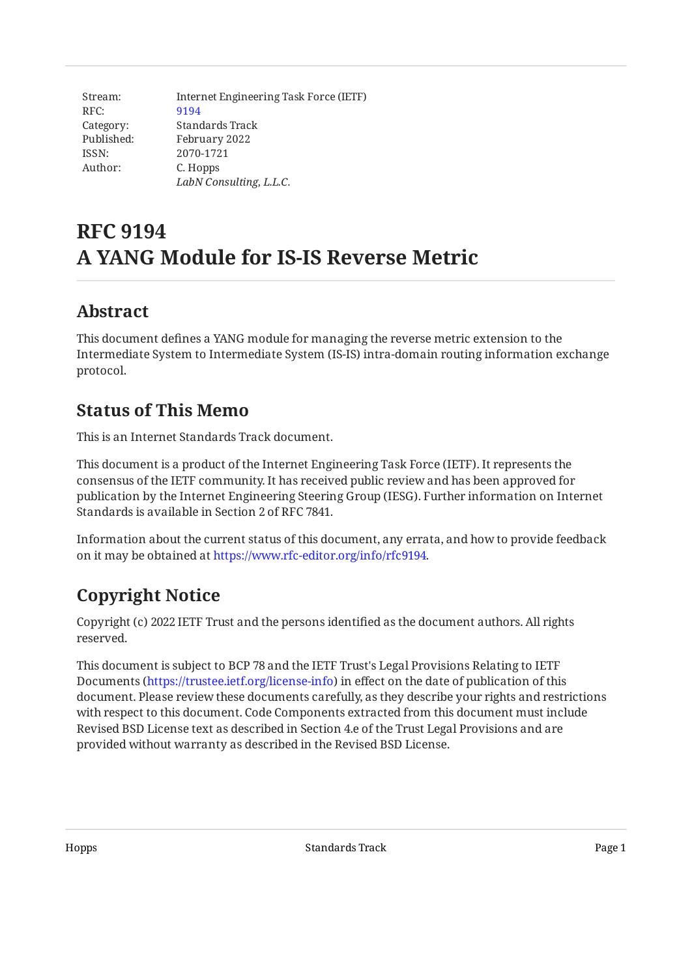| Stream:    | Internet Engineering Task Force (IETF) |
|------------|----------------------------------------|
| RFC:       | 9194                                   |
| Category:  | Standards Track                        |
| Published: | February 2022                          |
| ISSN:      | 2070-1721                              |
| Author:    | C. Hopps                               |
|            | LabN Consulting, L.L.C.                |

# **RFC 9194 A YANG Module for IS-IS Reverse Metric**

# <span id="page-0-0"></span>**[Abstract](#page-0-0)**

This document defines a YANG module for managing the reverse metric extension to the Intermediate System to Intermediate System (IS-IS) intra-domain routing information exchange protocol.

# <span id="page-0-1"></span>**[Status of This Memo](#page-0-1)**

This is an Internet Standards Track document.

This document is a product of the Internet Engineering Task Force (IETF). It represents the consensus of the IETF community. It has received public review and has been approved for publication by the Internet Engineering Steering Group (IESG). Further information on Internet Standards is available in Section 2 of RFC 7841.

Information about the current status of this document, any errata, and how to provide feedback on it may be obtained at [https://www.rfc-editor.org/info/rfc9194.](https://www.rfc-editor.org/info/rfc9194)

# <span id="page-0-2"></span>**[Copyright Notice](#page-0-2)**

Copyright (c) 2022 IETF Trust and the persons identified as the document authors. All rights reserved.

This document is subject to BCP 78 and the IETF Trust's Legal Provisions Relating to IETF Documents (<https://trustee.ietf.org/license-info>) in effect on the date of publication of this document. Please review these documents carefully, as they describe your rights and restrictions with respect to this document. Code Components extracted from this document must include Revised BSD License text as described in Section 4.e of the Trust Legal Provisions and are provided without warranty as described in the Revised BSD License.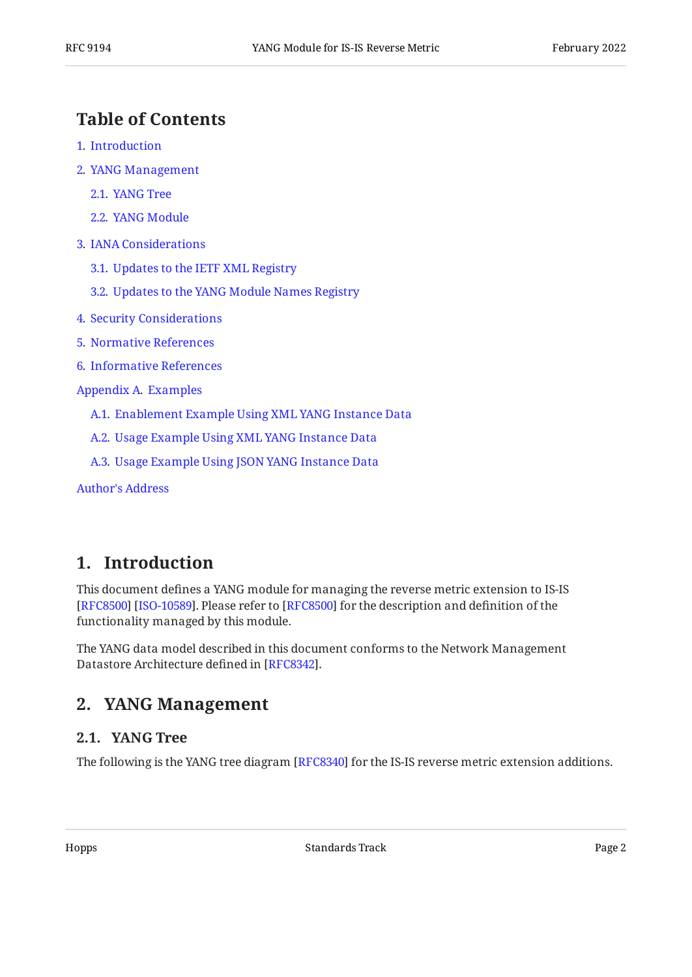## <span id="page-1-0"></span>**[Table of Contents](#page-1-0)**

- [1](#page-1-1). [Introduction](#page-1-1)
- [2](#page-1-2). [YANG Management](#page-1-2)
	- [2.1.](#page-1-3) [YANG Tree](#page-1-3)
	- [2.2.](#page-2-0) [YANG Module](#page-2-0)
- [3](#page-7-0). [IANA Considerations](#page-7-0)
	- [3.1.](#page-7-1) [Updates to the IETF XML Registry](#page-7-1)
	- [3.2.](#page-7-2) [Updates to the YANG Module Names Registry](#page-7-2)
- [4](#page-7-3). [Security Considerations](#page-7-3)
- [5](#page-9-0). [Normative References](#page-9-0)
- [6](#page-10-0). [Informative References](#page-10-0)
- [Appendix A.](#page-10-1) [Examples](#page-10-1)
	- [A.1](#page-10-2). [Enablement Example Using XML YANG Instance Data](#page-10-2)
	- [A.2](#page-11-0). [Usage Example Using XML YANG Instance Data](#page-11-0)
	- [A.3](#page-11-1). [Usage Example Using JSON YANG Instance Data](#page-11-1)

[Author's Address](#page-12-0)

## <span id="page-1-1"></span>**[1. Introduction](#page-1-1)**

This document defines a YANG module for managing the reverse metric extension to IS-IS [[RFC8500\]](#page-10-3) [ISO-10589]. Please refer to [RFC8500] for the description and definition of the functionality managed by this module.

<span id="page-1-2"></span>The YANG data model described in this document conforms to the Network Management Datastore Architecture defined in [RFC8342].

## <span id="page-1-3"></span>**[2. YANG Management](#page-1-2)**

#### **[2.1. YANG Tree](#page-1-3)**

The following is the YANG tree diagram [\[RFC8340](#page-9-3)] for the IS-IS reverse metric extension additions.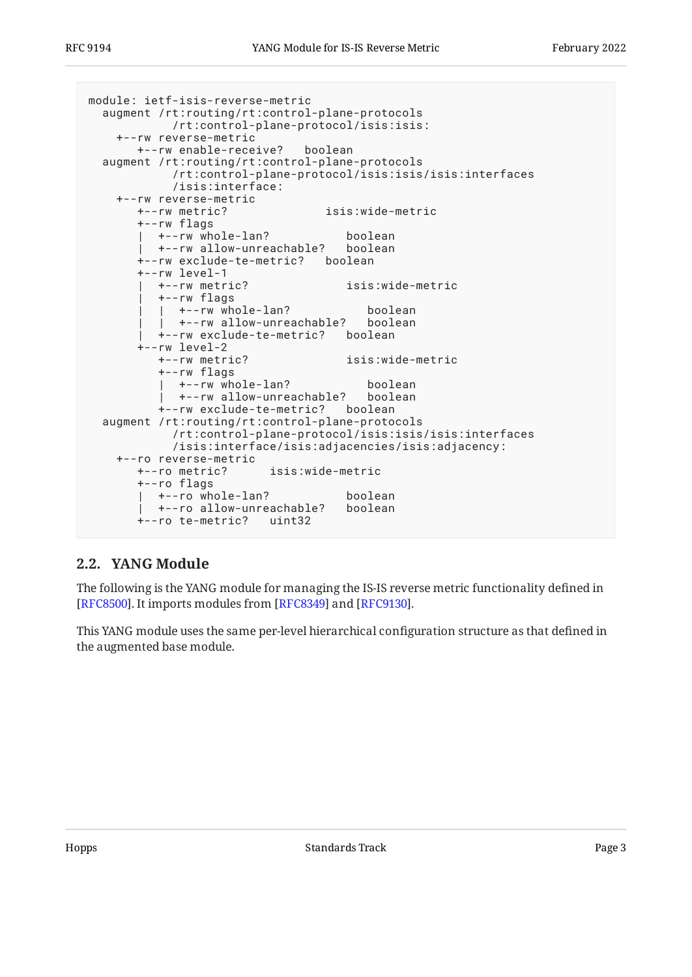```
module: ietf-isis-reverse-metric
   augment /rt:routing/rt:control-plane-protocols
             /rt:control-plane-protocol/isis:isis:
     +--rw reverse-metric
        +--rw enable-receive? boolean
   augment /rt:routing/rt:control-plane-protocols
             /rt:control-plane-protocol/isis:isis/isis:interfaces
             /isis:interface:
     +--rw reverse-metric
        +--rw metric? isis:wide-metric
        +--rw flags
        | +--rw whole-lan? boolean
          | +--rw allow-unreachable? boolean
        +--rw exclude-te-metric? boolean
        +--rw level-1
           | +--rw metric? isis:wide-metric
           | +--rw flags
          | +--rw_whole-lan? boolean<br>| +--rw_allow-unreachable? boolean
            +--rw allow-unreachable?
           | +--rw exclude-te-metric? boolean
       +--rw level-2<br>+--rw metric?
                                     isis:wide-metric
           +--rw flags
             | +--rw whole-lan? boolean
            +--rw allow-unreachable?
           +--rw exclude-te-metric? boolean
   augment /rt:routing/rt:control-plane-protocols
             /rt:control-plane-protocol/isis:isis/isis:interfaces
             /isis:interface/isis:adjacencies/isis:adjacency:
     +--ro reverse-metric
        +--ro metric? isis:wide-metric
        +--ro flags
       | +--ro whole-lan? boolean<br>| +--ro allow-unreachable? boolean
         +--ro allow-unreachable?
        +--ro te-metric? uint32
```
#### <span id="page-2-0"></span>**[2.2. YANG Module](#page-2-0)**

The following is the YANG module for managing the IS-IS reverse metric functionality defined in [[RFC8500\]](#page-10-3). It imports modules from [RFC8349] and [RFC9130].

This YANG module uses the same per-level hierarchical configuration structure as that defined in the augmented base module.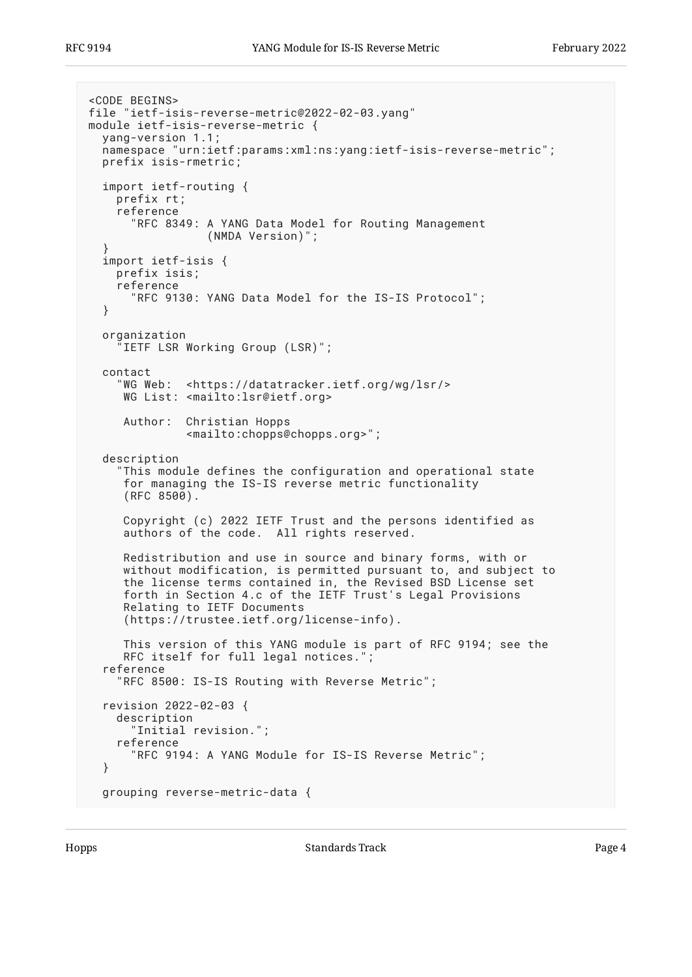```
<CODE BEGINS>
file "ietf-isis-reverse-metric@2022-02-03.yang"
module ietf-isis-reverse-metric {
   yang-version 1.1;
   namespace "urn:ietf:params:xml:ns:yang:ietf-isis-reverse-metric";
   prefix isis-rmetric;
   import ietf-routing {
     prefix rt;
     reference
       "RFC 8349: A YANG Data Model for Routing Management
                  (NMDA Version)";
 }
   import ietf-isis {
     prefix isis;
     reference
       "RFC 9130: YANG Data Model for the IS-IS Protocol";
   }
   organization
      "IETF LSR Working Group (LSR)";
   contact
 "WG Web: <https://datatracker.ietf.org/wg/lsr/>
 WG List: <mailto:lsr@ietf.org>
      Author: Christian Hopps
               <mailto:chopps@chopps.org>";
   description
     "This module defines the configuration and operational state
      for managing the IS-IS reverse metric functionality
     (RFC 8500).
      Copyright (c) 2022 IETF Trust and the persons identified as
      authors of the code. All rights reserved.
      Redistribution and use in source and binary forms, with or
      without modification, is permitted pursuant to, and subject to
      the license terms contained in, the Revised BSD License set
      forth in Section 4.c of the IETF Trust's Legal Provisions
      Relating to IETF Documents
      (https://trustee.ietf.org/license-info).
      This version of this YANG module is part of RFC 9194; see the
      RFC itself for full legal notices.";
   reference
     "RFC 8500: IS-IS Routing with Reverse Metric";
   revision 2022-02-03 {
     description
        "Initial revision.";
     reference
        "RFC 9194: A YANG Module for IS-IS Reverse Metric";
   }
   grouping reverse-metric-data {
```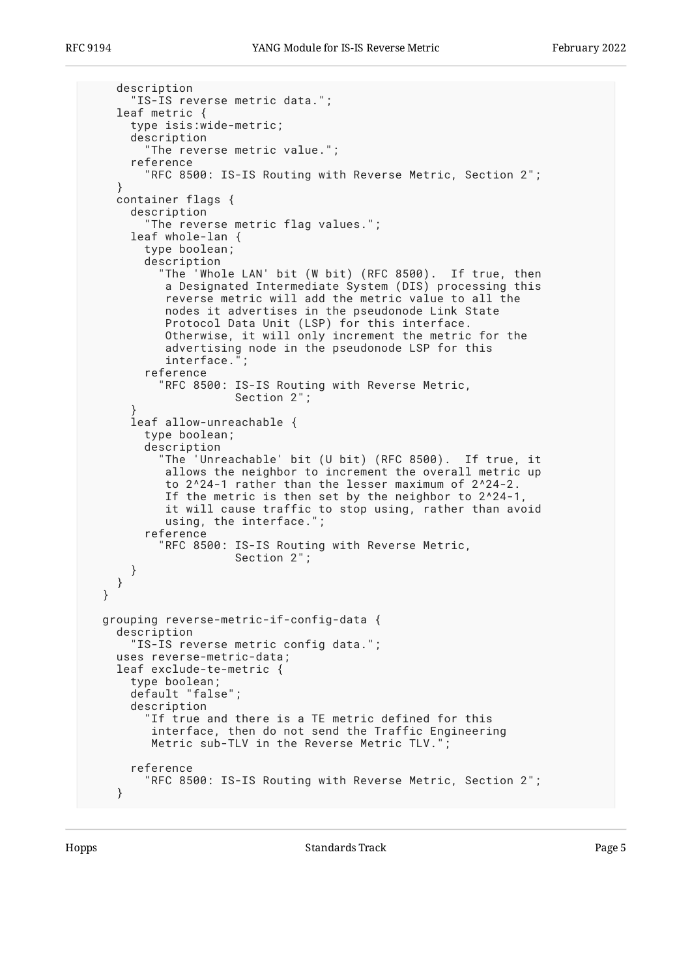```
 description
       "IS-IS reverse metric data.";
     leaf metric {
       type isis:wide-metric;
       description
          "The reverse metric value.";
       reference
         "RFC 8500: IS-IS Routing with Reverse Metric, Section 2";
 }
    container flags {
       description
         "The reverse metric flag values.";
       leaf whole-lan {
         type boolean;
         description
            "The 'Whole LAN' bit (W bit) (RFC 8500). If true, then
            a Designated Intermediate System (DIS) processing this
            reverse metric will add the metric value to all the
            nodes it advertises in the pseudonode Link State
            Protocol Data Unit (LSP) for this interface.
            Otherwise, it will only increment the metric for the
            advertising node in the pseudonode LSP for this
            interface.";
         reference
           "RFC 8500: IS-IS Routing with Reverse Metric,
                       Section 2";
 }
       leaf allow-unreachable {
         type boolean;
         description
           "The 'Unreachable' bit (U bit) (RFC 8500). If true, it
            allows the neighbor to increment the overall metric up
            to 2^24-1 rather than the lesser maximum of 2^24-2.
            If the metric is then set by the neighbor to 2^24-1,
            it will cause traffic to stop using, rather than avoid
            using, the interface.";
         reference
           "RFC 8500: IS-IS Routing with Reverse Metric,
                      Section 2";
       }
     }
  }
  grouping reverse-metric-if-config-data {
    description
       IS-IS reverse metric config data.";
     uses reverse-metric-data;
    leaf exclude-te-metric {
       type boolean;
       default "false";
       description
         "If true and there is a TE metric defined for this
          interface, then do not send the Traffic Engineering
          Metric sub-TLV in the Reverse Metric TLV.";
       reference
         "RFC 8500: IS-IS Routing with Reverse Metric, Section 2";
     }
```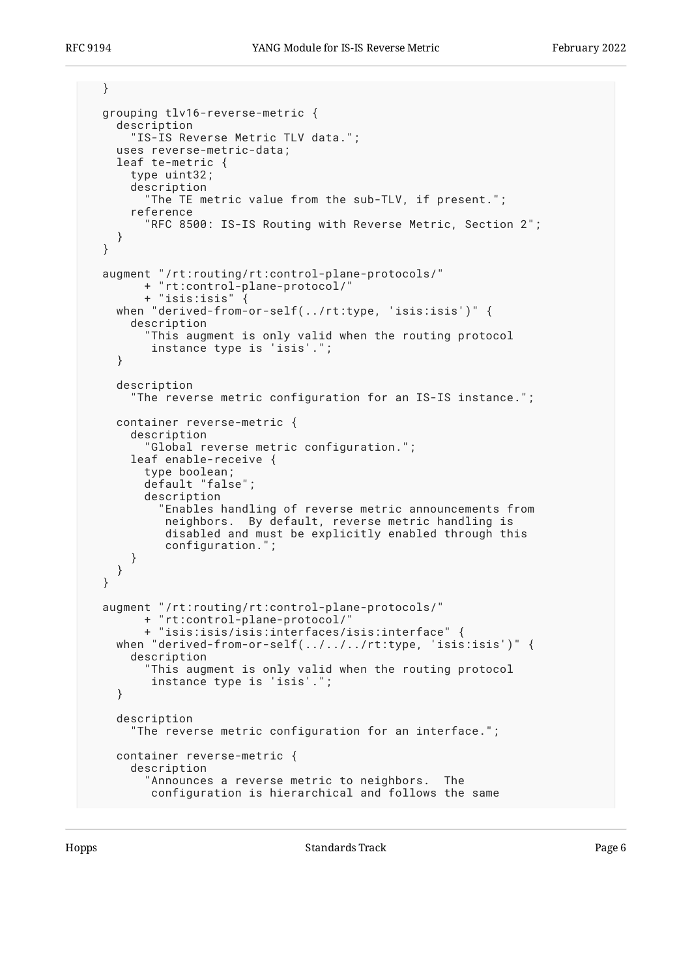```
 }
  grouping tlv16-reverse-metric {
    description
       "IS-IS Reverse Metric TLV data.";
    uses reverse-metric-data;
    leaf te-metric {
       type uint32;
       description
         "The TE metric value from the sub-TLV, if present.";
       reference
         "RFC 8500: IS-IS Routing with Reverse Metric, Section 2";
    }
  }
 augment "/rt:routing/rt:control-plane-protocols/"
 + "rt:control-plane-protocol/"
         + "isis:isis" {
    when "derived-from-or-self(../rt:type, 'isis:isis')" {
      description
         "This augment is only valid when the routing protocol
          instance type is 'isis'.";
    }
    description
       "The reverse metric configuration for an IS-IS instance.";
    container reverse-metric {
       description
         "Global reverse metric configuration.";
      leaf enable-receive {
         type boolean;
         default "false";
         description
           "Enables handling of reverse metric announcements from
            neighbors. By default, reverse metric handling is
            disabled and must be explicitly enabled through this
            configuration.";
       }
    }
  }
 augment "/rt:routing/rt:control-plane-protocols/"
 + "rt:control-plane-protocol/"
         + "isis:isis/isis:interfaces/isis:interface" {
    when "derived-from-or-self(../../../rt:type, 'isis:isis')" {
       description
         "This augment is only valid when the routing protocol
          instance type is 'isis'.";
    }
    description
       "The reverse metric configuration for an interface.";
    container reverse-metric {
      description
         "Announces a reverse metric to neighbors. The
         configuration is hierarchical and follows the same
```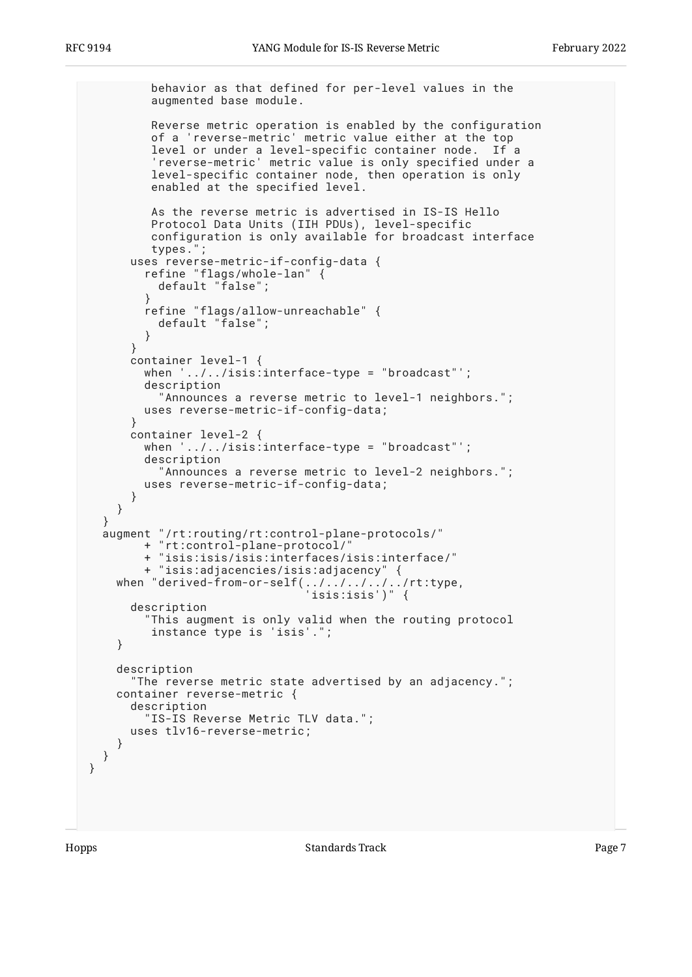behavior as that defined for per-level values in the augmented base module. Reverse metric operation is enabled by the configuration of a 'reverse-metric' metric value either at the top level or under a level-specific container node. If a 'reverse-metric' metric value is only specified under a level-specific container node, then operation is only enabled at the specified level. As the reverse metric is advertised in IS-IS Hello Protocol Data Units (IIH PDUs), level-specific configuration is only available for broadcast interface types."; uses reverse-metric-if-config-data { refine "flags/whole-lan" { default "false"; } refine "flags/allow-unreachable" { default "false"; } } container level-1 { when '../../isis:interface-type = "broadcast"'; description "Announces a reverse metric to level-1 neighbors."; uses reverse-metric-if-config-data; } container level-2 { when '../../isis:interface-type = "broadcast"'; description "Announces a reverse metric to level-2 neighbors."; uses reverse-metric-if-config-data; } } augment "/rt:routing/rt:control-plane-protocols/" + "rt:control-plane-protocol/" + "isis:isis/isis:interfaces/isis:interface/" + "isis:adjacencies/isis:adjacency" { when "derived-from-or-self(../../../../../rt:type, 'isis:isis')" { description "This augment is only valid when the routing protocol instance type is 'isis'."; } description "The reverse metric state advertised by an adjacency."; container reverse-metric { description "IS-IS Reverse Metric TLV data."; uses tlv16-reverse-metric; }

 } }

}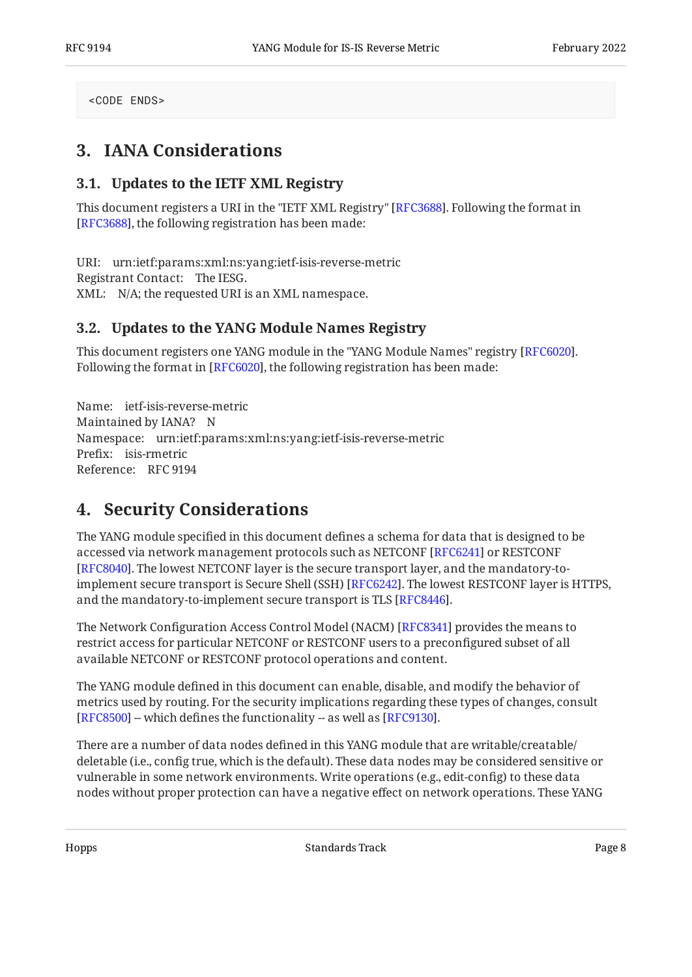<span id="page-7-0"></span><CODE ENDS>

## <span id="page-7-1"></span>**[3. IANA Considerations](#page-7-0)**

#### **[3.1. Updates to the IETF XML Registry](#page-7-1)**

This document registers a URI in the "IETF XML Registry" [RFC3688]. Following the format in  $\;$ [[RFC3688\]](#page-9-5), the following registration has been made:

URI: urn:ietf:params:xml:ns:yang:ietf-isis-reverse-metric Registrant Contact: The IESG. XML: N/A; the requested URI is an XML namespace.

#### <span id="page-7-2"></span>**[3.2. Updates to the YANG Module Names Registry](#page-7-2)**

This document registers one YANG module in the "YANG Module Names" registry [RFC6020]. Following the format in [RFC6020], the following registration has been made:

Name: ietf-isis-reverse-metric Maintained by IANA? N Namespace: urn:ietf:params:xml:ns:yang:ietf-isis-reverse-metric Prefix: isis-rmetric Reference: RFC 9194

## <span id="page-7-3"></span>**[4. Security Considerations](#page-7-3)**

The YANG module specified in this document defines a schema for data that is designed to be accessed via network management protocols such as NETCONF [\[RFC6241](#page-9-7)] or RESTCONF . The lowest NETCONF layer is the secure transport layer, and the mandatory-to-[[RFC8040\]](#page-9-8) implement secure transport is Secure Shell (SSH) [RFC6242]. The lowest RESTCONF layer is HTTPS,  $\,$ and the mandatory-to-implement secure transport is TLS [RFC8446].

The Network Configuration Access Control Model (NACM) [[RFC8341\]](#page-9-10) provides the means to restrict access for particular NETCONF or RESTCONF users to a preconfigured subset of all available NETCONF or RESTCONF protocol operations and content.

The YANG module defined in this document can enable, disable, and modify the behavior of metrics used by routing. For the security implications regarding these types of changes, consult [[RFC8500\]](#page-10-3) -- which defines the functionality -- as well as  $[{\rm RF}C9130]$ .

There are a number of data nodes defined in this YANG module that are writable/creatable/ deletable (i.e., config true, which is the default). These data nodes may be considered sensitive or vulnerable in some network environments. Write operations (e.g., edit-config) to these data nodes without proper protection can have a negative effect on network operations. These YANG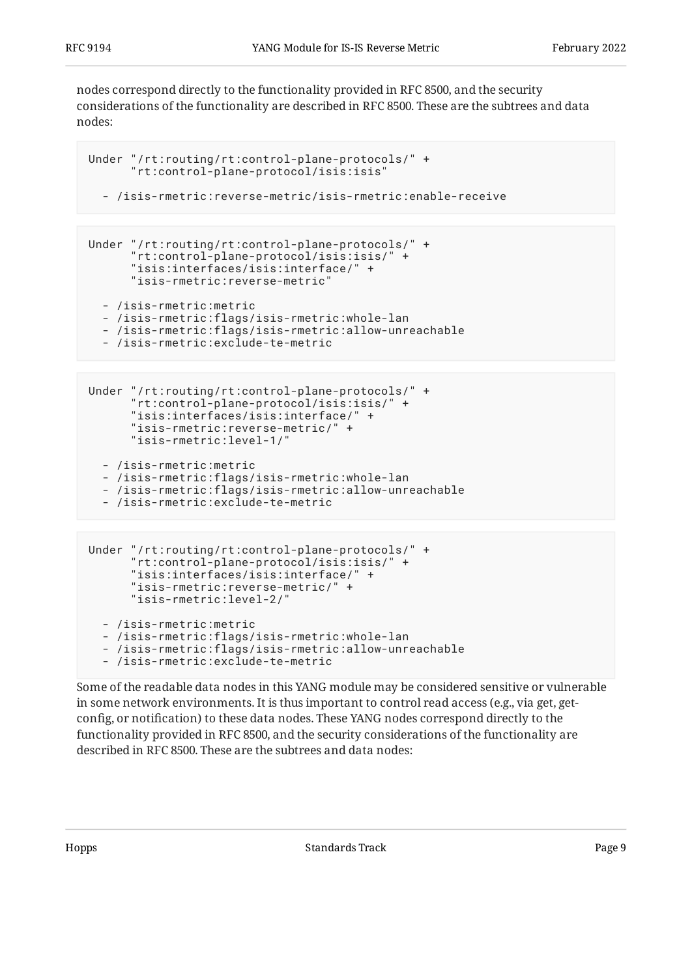nodes correspond directly to the functionality provided in RFC 8500, and the security considerations of the functionality are described in RFC 8500. These are the subtrees and data nodes:

```
Under "/rt:routing/rt:control-plane-protocols/" +
       "rt:control-plane-protocol/isis:isis"
```

```
 - /isis-rmetric:reverse-metric/isis-rmetric:enable-receive
```

```
Under "/rt:routing/rt:control-plane-protocols/" +
       "rt:control-plane-protocol/isis:isis/" +
       "isis:interfaces/isis:interface/" +
       "isis-rmetric:reverse-metric"
   - /isis-rmetric:metric
```

```
 - /isis-rmetric:flags/isis-rmetric:whole-lan
```

```
 - /isis-rmetric:flags/isis-rmetric:allow-unreachable
```
- /isis-rmetric:exclude-te-metric

```
Under "/rt:routing/rt:control-plane-protocols/" +
       "rt:control-plane-protocol/isis:isis/" +
       "isis:interfaces/isis:interface/" +
       "isis-rmetric:reverse-metric/" +
       "isis-rmetric:level-1/"
   - /isis-rmetric:metric
   - /isis-rmetric:flags/isis-rmetric:whole-lan
```

```
 - /isis-rmetric:flags/isis-rmetric:allow-unreachable
```
- /isis-rmetric:exclude-te-metric

```
Under "/rt:routing/rt:control-plane-protocols/" +
       "rt:control-plane-protocol/isis:isis/" +
       "isis:interfaces/isis:interface/" +
       "isis-rmetric:reverse-metric/" +
       "isis-rmetric:level-2/"
   - /isis-rmetric:metric
   - /isis-rmetric:flags/isis-rmetric:whole-lan
   - /isis-rmetric:flags/isis-rmetric:allow-unreachable
   - /isis-rmetric:exclude-te-metric
```
Some of the readable data nodes in this YANG module may be considered sensitive or vulnerable in some network environments. It is thus important to control read access (e.g., via get, getconfig, or notification) to these data nodes. These YANG nodes correspond directly to the functionality provided in RFC 8500, and the security considerations of the functionality are described in RFC 8500. These are the subtrees and data nodes: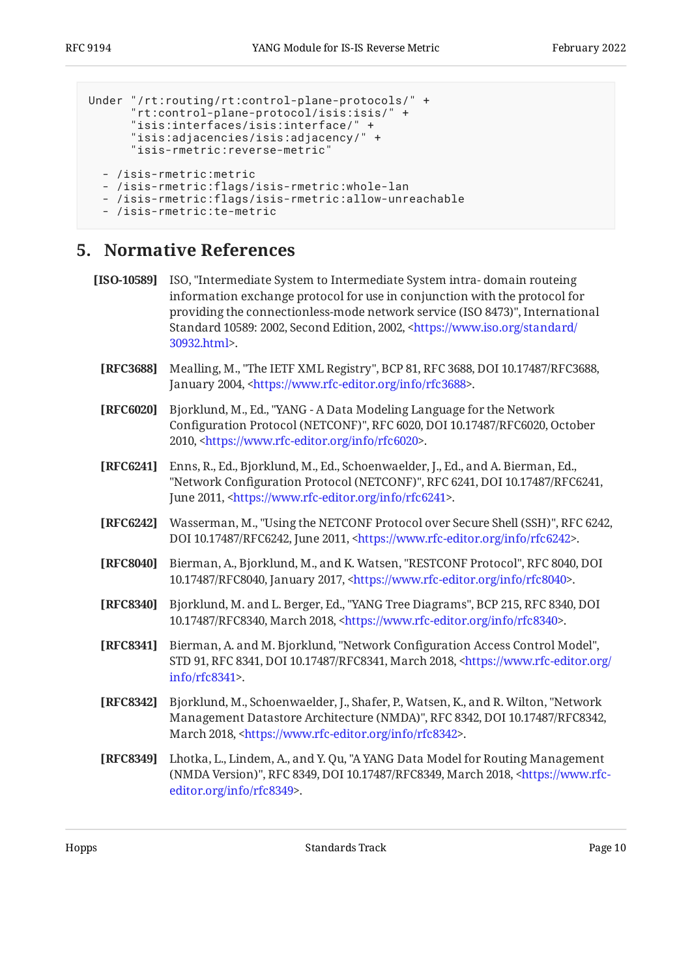```
Under "/rt:routing/rt:control-plane-protocols/" +
       "rt:control-plane-protocol/isis:isis/" +
       "isis:interfaces/isis:interface/" +
       "isis:adjacencies/isis:adjacency/" +
       "isis-rmetric:reverse-metric"
   - /isis-rmetric:metric
   - /isis-rmetric:flags/isis-rmetric:whole-lan
   - /isis-rmetric:flags/isis-rmetric:allow-unreachable
   - /isis-rmetric:te-metric
```
### <span id="page-9-0"></span>**[5. Normative References](#page-9-0)**

```
[ISO-10589] ISO, "Intermediate System to Intermediate System intra- domain routeing
           providing the connectionless-mode network service (ISO 8473)", International
           <https://www.iso.org/standard/
           . 
30932.html>
           information exchange protocol for use in conjunction with the protocol for
```
- <span id="page-9-5"></span>**[RFC3688]** Mealling, M., "The IETF XML Registry", BCP 81, RFC 3688, DOI 10.17487/RFC3688, January 2004, <https://www.rfc-editor.org/info/rfc3688>.
- <span id="page-9-6"></span>**[RFC6020]** , Bjorklund, M., Ed. "YANG - A Data Modeling Language for the Network Configuration Protocol (NETCONF)", RFC 6020, DOI 10.17487/RFC6020, October 2010, <https://www.rfc-editor.org/info/rfc6020>.
- <span id="page-9-7"></span>**[RFC6241]** Enns, R., Ed., Bjorklund, M., Ed., Schoenwaelder, J., Ed., and A. Bierman, Ed., "Network Configuration Protocol (NETCONF)", RFC 6241, DOI 10.17487/RFC6241, June 2011, <https://www.rfc-editor.org/info/rfc6241>.
- <span id="page-9-9"></span>**[RFC6242]** Wasserman, M., "Using the NETCONF Protocol over Secure Shell (SSH)", RFC 6242, DOI 10.17487/RFC6242, June 2011, <https://www.rfc-editor.org/info/rfc6242>.
- <span id="page-9-8"></span>**[RFC8040]** Bierman, A., Bjorklund, M., and K. Watsen, "RESTCONF Protocol", RFC 8040, DOI 10.17487/RFC8040, January 2017, <https://www.rfc-editor.org/info/rfc8040>.
- <span id="page-9-3"></span>**[RFC8340]** Bjorklund, M. and L. Berger, Ed., "YANG Tree Diagrams", BCP 215, RFC 8340, DOI 10.17487/RFC8340, March 2018, <https://www.rfc-editor.org/info/rfc8340>.
- <span id="page-9-10"></span>[RFC8341] Bierman, A. and M. Bjorklund, "Network Configuration Access Control Model", STD 91, RFC 8341, DOI 10.17487/RFC8341, March 2018, [<https://www.rfc-editor.org/](https://www.rfc-editor.org/info/rfc8341) . [info/rfc8341>](https://www.rfc-editor.org/info/rfc8341)
- <span id="page-9-2"></span>**[RFC8342]** Bjorklund, M., Schoenwaelder, J., Shafer, P., Watsen, K., and R. Wilton, "Network Management Datastore Architecture (NMDA)", RFC 8342, DOI 10.17487/RFC8342, March 2018, [<https://www.rfc-editor.org/info/rfc8342](https://www.rfc-editor.org/info/rfc8342)>.
- <span id="page-9-4"></span>**[RFC8349]** Lhotka, L., Lindem, A., and Y. Qu, "A YANG Data Model for Routing Management (NMDA Version)", RFC 8349, DOI 10.17487/RFC8349, March 2018, [<https://www.rfc-](https://www.rfc-editor.org/info/rfc8349). [editor.org/info/rfc8349](https://www.rfc-editor.org/info/rfc8349)>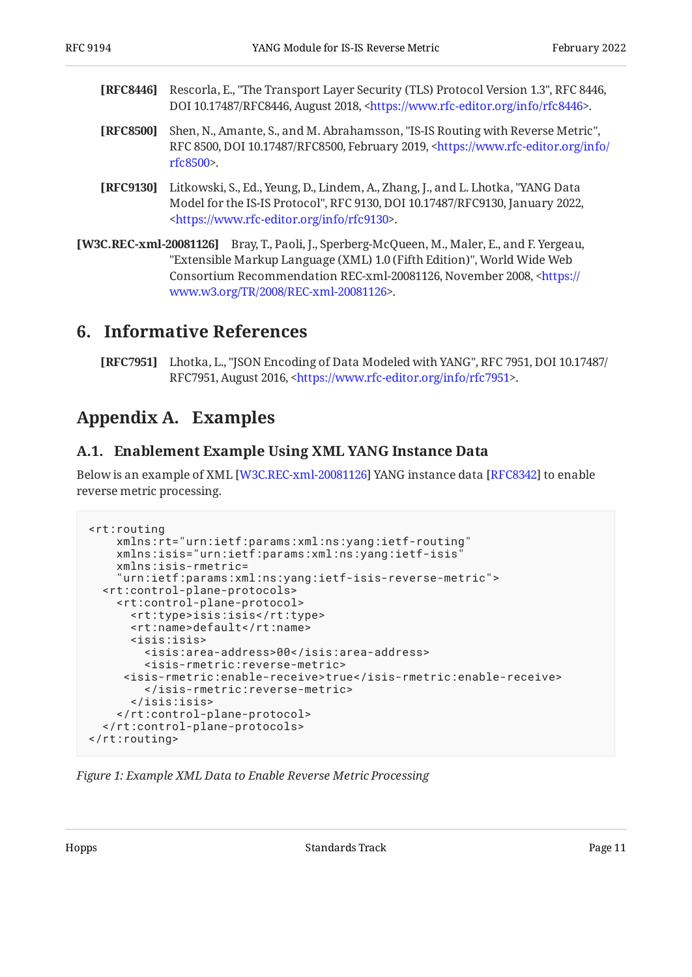- <span id="page-10-5"></span>**[RFC8446]** Rescorla, E., "The Transport Layer Security (TLS) Protocol Version 1.3", RFC 8446, DOI 10.17487/RFC8446, August 2018, <https://www.rfc-editor.org/info/rfc8446>.
- <span id="page-10-3"></span>**[RFC8500]** Shen, N., Amante, S., and M. Abrahamsson, "IS-IS Routing with Reverse Metric", RFC 8500, DOI 10.17487/RFC8500, February 2019, [<https://www.rfc-editor.org/info/](https://www.rfc-editor.org/info/rfc8500) . [rfc8500](https://www.rfc-editor.org/info/rfc8500)>
- <span id="page-10-4"></span>**[RFC9130]** Litkowski, S., Ed., Yeung, D., Lindem, A., Zhang, J., and L. Lhotka, "YANG Data Model for the IS-IS Protocol", RFC 9130, DOI 10.17487/RFC9130, January 2022, . [<https://www.rfc-editor.org/info/rfc9130](https://www.rfc-editor.org/info/rfc9130)>
- <span id="page-10-6"></span>**[W3C.REC-xml-20081126]** Bray, T., Paoli, J., Sperberg-McQueen, M., Maler, E., and F. Yergeau, "Extensible Markup Language (XML) 1.0 (Fifth Edition)", World Wide Web Consortium Recommendation REC-xml-20081126, November 2008, [<https://](https://www.w3.org/TR/2008/REC-xml-20081126) . [www.w3.org/TR/2008/REC-xml-20081126>](https://www.w3.org/TR/2008/REC-xml-20081126)

## <span id="page-10-0"></span>**[6. Informative References](#page-10-0)**

<span id="page-10-8"></span>**[RFC7951]** Lhotka, L., "JSON Encoding of Data Modeled with YANG", RFC 7951, DOI 10.17487/ RFC7951, August 2016, <https://www.rfc-editor.org/info/rfc7951>.

## <span id="page-10-2"></span><span id="page-10-1"></span>**[Appendix A. Examples](#page-10-1)**

#### **[A.1. Enablement Example Using XML YANG Instance Data](#page-10-2)**

Below is an example of XML [\[W3C.REC-xml-20081126\]](#page-10-6) YANG instance data [\[RFC8342\]](#page-9-2) to enable reverse metric processing.

```
<rt:routing
     xmlns:rt="urn:ietf:params:xml:ns:yang:ietf-routing"
     xmlns:isis="urn:ietf:params:xml:ns:yang:ietf-isis"
     xmlns:isis-rmetric=
     "urn:ietf:params:xml:ns:yang:ietf-isis-reverse-metric">
   <rt:control-plane-protocols>
     <rt:control-plane-protocol>
       <rt:type>isis:isis</rt:type>
       <rt:name>default</rt:name>
       <isis:isis>
         <isis:area-address>00</isis:area-address>
         <isis-rmetric:reverse-metric>
      <isis-rmetric:enable-receive>true</isis-rmetric:enable-receive>
         </isis-rmetric:reverse-metric>
       </isis:isis>
     </rt:control-plane-protocol>
  </rt:control-plane-protocols>
</rt:routing>
```
*[Figure 1: Example XML Data to Enable Reverse Metric Processing](#page-10-7)*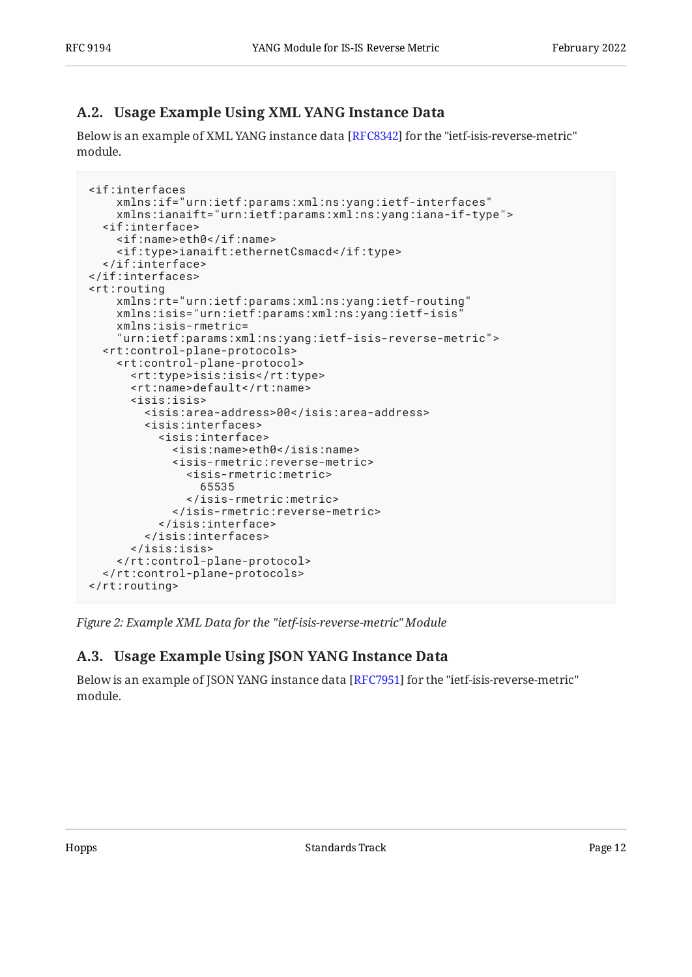### <span id="page-11-0"></span>**[A.2. Usage Example Using XML YANG Instance Data](#page-11-0)**

Below is an example of XML YANG instance data [[RFC8342\]](#page-9-2) for the "ietf-isis-reverse-metric"  $\,$ module.

```
<if:interfaces
     xmlns:if="urn:ietf:params:xml:ns:yang:ietf-interfaces"
     xmlns:ianaift="urn:ietf:params:xml:ns:yang:iana-if-type">
   <if:interface>
     <if:name>eth0</if:name>
     <if:type>ianaift:ethernetCsmacd</if:type>
   </if:interface>
</if:interfaces>
<rt:routing
     xmlns:rt="urn:ietf:params:xml:ns:yang:ietf-routing"
     xmlns:isis="urn:ietf:params:xml:ns:yang:ietf-isis"
     xmlns:isis-rmetric=
     "urn:ietf:params:xml:ns:yang:ietf-isis-reverse-metric">
   <rt:control-plane-protocols>
     <rt:control-plane-protocol>
       <rt:type>isis:isis</rt:type>
       <rt:name>default</rt:name>
       <isis:isis>
         <isis:area-address>00</isis:area-address>
         <isis:interfaces>
           <isis:interface>
              <isis:name>eth0</isis:name>
             <isis-rmetric:reverse-metric>
                <isis-rmetric:metric>
                  65535
               </isis-rmetric:metric>
             </isis-rmetric:reverse-metric>
           </isis:interface>
         </isis:interfaces>
       </isis:isis>
     </rt:control-plane-protocol>
   </rt:control-plane-protocols>
</rt:routing>
```
<span id="page-11-1"></span>*[Figure 2: Example XML Data for the "ietf-isis-reverse-metric" Module](#page-11-2)* 

### **[A.3. Usage Example Using JSON YANG Instance Data](#page-11-1)**

<span id="page-11-3"></span>Below is an example of JSON YANG instance data [RFC7951] for the "ietf-isis-reverse-metric" module.